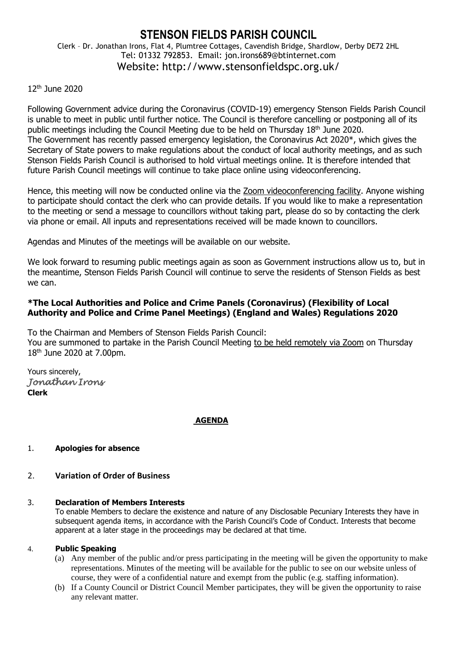# **STENSON FIELDS PARISH COUNCIL** Clerk – Dr. Jonathan Irons, Flat 4, Plumtree Cottages, Cavendish Bridge, Shardlow, Derby DE72 2HL Tel: 01332 792853. Email: jon.irons689@btinternet.com Website: http://www.stensonfieldspc.org.uk/

# 12th June 2020

Following Government advice during the Coronavirus (COVID-19) emergency Stenson Fields Parish Council is unable to meet in public until further notice. The Council is therefore cancelling or postponing all of its public meetings including the Council Meeting due to be held on Thursday 18<sup>th</sup> June 2020. The Government has recently passed emergency legislation, the Coronavirus Act 2020\*, which gives the Secretary of State powers to make regulations about the conduct of local authority meetings, and as such Stenson Fields Parish Council is authorised to hold virtual meetings online. It is therefore intended that future Parish Council meetings will continue to take place online using videoconferencing.

Hence, this meeting will now be conducted online via the Zoom videoconferencing facility. Anyone wishing to participate should contact the clerk who can provide details. If you would like to make a representation to the meeting or send a message to councillors without taking part, please do so by contacting the clerk via phone or email. All inputs and representations received will be made known to councillors.

Agendas and Minutes of the meetings will be available on our website.

We look forward to resuming public meetings again as soon as Government instructions allow us to, but in the meantime, Stenson Fields Parish Council will continue to serve the residents of Stenson Fields as best we can.

# **\*The Local Authorities and Police and Crime Panels (Coronavirus) (Flexibility of Local Authority and Police and Crime Panel Meetings) (England and Wales) Regulations 2020**

To the Chairman and Members of Stenson Fields Parish Council: You are summoned to partake in the Parish Council Meeting to be held remotely via Zoom on Thursday 18th June 2020 at 7.00pm.

Yours sincerely, *Jonathan Irons*  **Clerk**

# **AGENDA**

# 1. **Apologies for absence**

# 2. **Variation of Order of Business**

#### 3. **Declaration of Members Interests**

To enable Members to declare the existence and nature of any Disclosable Pecuniary Interests they have in subsequent agenda items, in accordance with the Parish Council's Code of Conduct. Interests that become apparent at a later stage in the proceedings may be declared at that time.

#### 4. **Public Speaking**

- (a) Any member of the public and/or press participating in the meeting will be given the opportunity to make representations. Minutes of the meeting will be available for the public to see on our website unless of course, they were of a confidential nature and exempt from the public (e.g. staffing information).
- (b) If a County Council or District Council Member participates, they will be given the opportunity to raise any relevant matter.